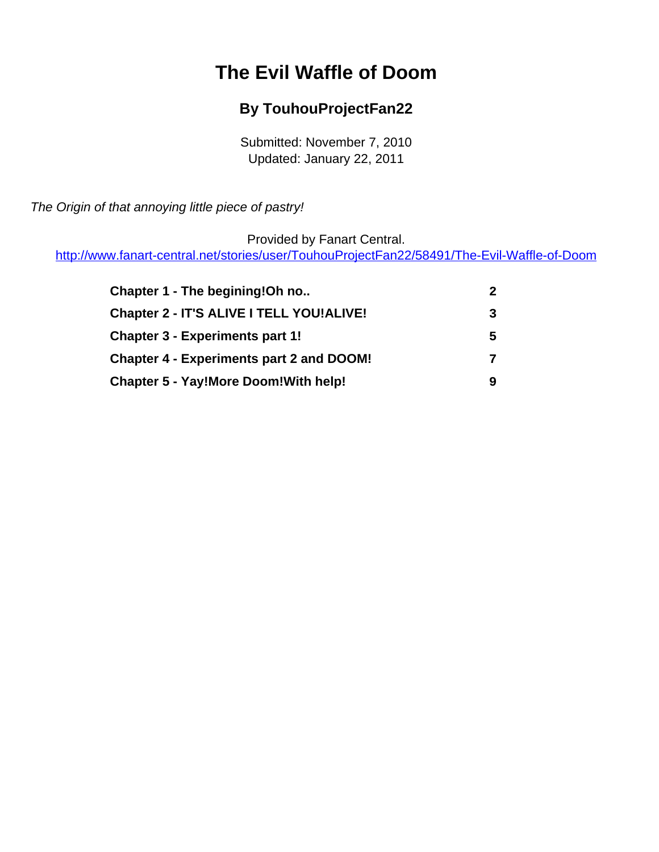# **The Evil Waffle of Doom**

#### **By TouhouProjectFan22**

Submitted: November 7, 2010 Updated: January 22, 2011

<span id="page-0-0"></span>The Origin of that annoying little piece of pastry!

Provided by Fanart Central.

[http://www.fanart-central.net/stories/user/TouhouProjectFan22/58491/The-Evil-Waffle-of-Doom](#page-0-0)

| Chapter 1 - The begining!Oh no                  |   |
|-------------------------------------------------|---|
| Chapter 2 - IT'S ALIVE I TELL YOU!ALIVE!        | 3 |
| <b>Chapter 3 - Experiments part 1!</b>          | 5 |
| <b>Chapter 4 - Experiments part 2 and DOOM!</b> | 7 |
| <b>Chapter 5 - Yay!More Doom!With help!</b>     | q |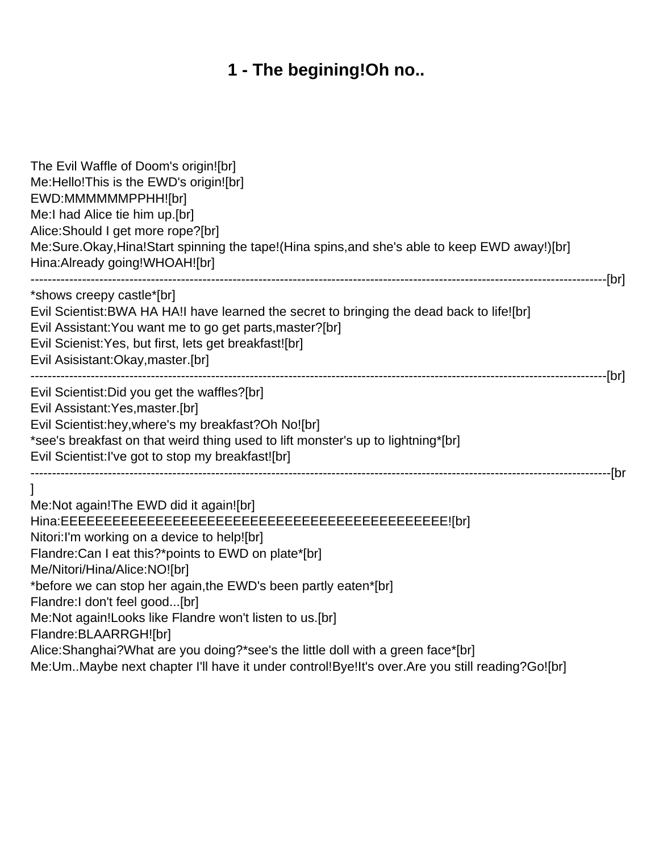# **1 - The begining!Oh no..**

<span id="page-1-0"></span>

| The Evil Waffle of Doom's origin![br]<br>Me:Hello! This is the EWD's origin! [br]<br>EWD:MMMMMMPPHH![br]<br>Me:I had Alice tie him up.[br]<br>Alice: Should I get more rope?[br]<br>Me:Sure.Okay,Hina!Start spinning the tape!(Hina spins,and she's able to keep EWD away!)[br]<br>Hina:Already going!WHOAH![br]                                                                                                                                                                                                                                                           |  |
|----------------------------------------------------------------------------------------------------------------------------------------------------------------------------------------------------------------------------------------------------------------------------------------------------------------------------------------------------------------------------------------------------------------------------------------------------------------------------------------------------------------------------------------------------------------------------|--|
| *shows creepy castle*[br]<br>Evil Scientist: BWA HA HA! I have learned the secret to bringing the dead back to life! [br]<br>Evil Assistant: You want me to go get parts, master? [br]<br>Evil Scienist: Yes, but first, lets get breakfast![br]<br>Evil Asisistant: Okay, master. [br]                                                                                                                                                                                                                                                                                    |  |
| Evil Scientist: Did you get the waffles? [br]<br>Evil Assistant: Yes, master. [br]<br>Evil Scientist: hey, where's my breakfast? Oh No![br]<br>*see's breakfast on that weird thing used to lift monster's up to lightning*[br]<br>Evil Scientist: I've got to stop my breakfast![br]                                                                                                                                                                                                                                                                                      |  |
| 1<br>Me:Not again! The EWD did it again! [br]<br>Nitori:I'm working on a device to help![br]<br>Flandre: Can I eat this?*points to EWD on plate*[br]<br>Me/Nitori/Hina/Alice:NO![br]<br>*before we can stop her again, the EWD's been partly eaten*[br]<br>Flandre:I don't feel good[br]<br>Me:Not again!Looks like Flandre won't listen to us.[br]<br>Flandre: BLAARRGH![br]<br>Alice: Shanghai? What are you doing?*see's the little doll with a green face*[br]<br>Me: UmMaybe next chapter I'll have it under control! Bye! It's over. Are you still reading? Go! [br] |  |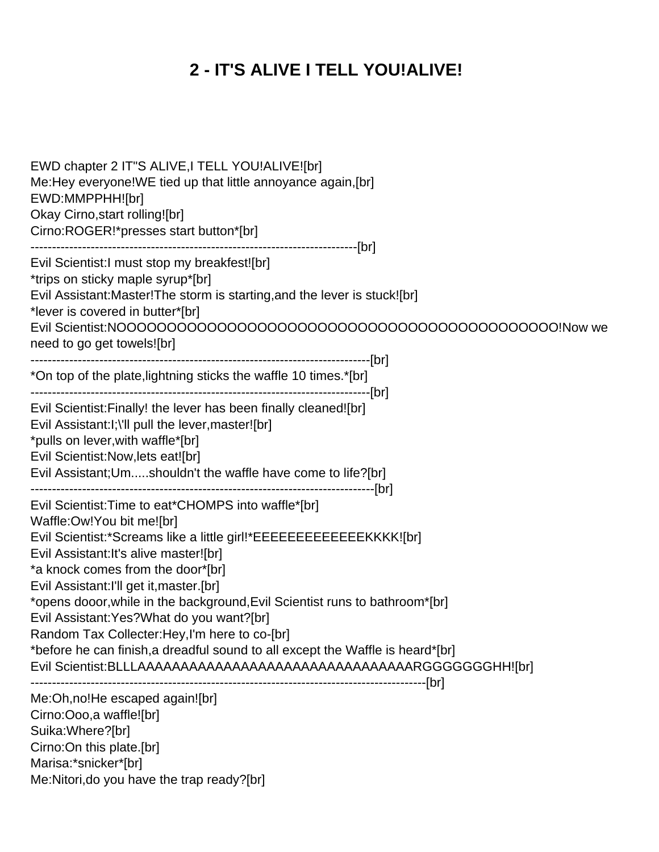# **2 - IT'S ALIVE I TELL YOU!ALIVE!**

<span id="page-2-0"></span>

| EWD chapter 2 IT"S ALIVE, I TELL YOU!ALIVE![br]<br>Me:Hey everyone!WE tied up that little annoyance again, [br]<br>EWD:MMPPHH![br]<br>Okay Cirno, start rolling![br]<br>Cirno:ROGER!*presses start button*[br]                                                                                                                                                                                                                                                                                                                                                                                                             |
|----------------------------------------------------------------------------------------------------------------------------------------------------------------------------------------------------------------------------------------------------------------------------------------------------------------------------------------------------------------------------------------------------------------------------------------------------------------------------------------------------------------------------------------------------------------------------------------------------------------------------|
| Evil Scientist: I must stop my breakfest![br]<br>*trips on sticky maple syrup*[br]<br>Evil Assistant: Master! The storm is starting, and the lever is stuck! [br]<br>*lever is covered in butter*[br]<br>need to go get towels![br]                                                                                                                                                                                                                                                                                                                                                                                        |
| *On top of the plate, lightning sticks the waffle 10 times.*[br]                                                                                                                                                                                                                                                                                                                                                                                                                                                                                                                                                           |
| Evil Scientist: Finally! the lever has been finally cleaned![br]<br>Evil Assistant: I; \'Il pull the lever, master![br]<br>*pulls on lever, with waffle*[br]<br>Evil Scientist: Now, lets eat![br]<br>Evil Assistant; Umshouldn't the waffle have come to life?[br]                                                                                                                                                                                                                                                                                                                                                        |
| Evil Scientist: Time to eat*CHOMPS into waffle*[br]<br>Waffle:Ow!You bit me![br]<br>Evil Scientist:*Screams like a little girl!*EEEEEEEEEEEEEKKKK![br]<br>Evil Assistant: It's alive master![br]<br>*a knock comes from the door*[br]<br>Evil Assistant: I'll get it, master. [br]<br>*opens dooor, while in the background, Evil Scientist runs to bathroom*[br]<br>Evil Assistant: Yes? What do you want? [br]<br>Random Tax Collecter: Hey, I'm here to co-[br]<br>*before he can finish, a dreadful sound to all except the Waffle is heard*[br]<br>Evil Scientist: BLLLAAAAAAAAAAAAAAAAAAAAAAAAAAAAAAAARGGGGGGHH![br] |
| Me:Oh, no! He escaped again! [br]<br>Cirno:Ooo,a waffle![br]<br>Suika: Where?[br]<br>Cirno: On this plate. [br]<br>Marisa:*snicker*[br]<br>Me:Nitori, do you have the trap ready?[br]                                                                                                                                                                                                                                                                                                                                                                                                                                      |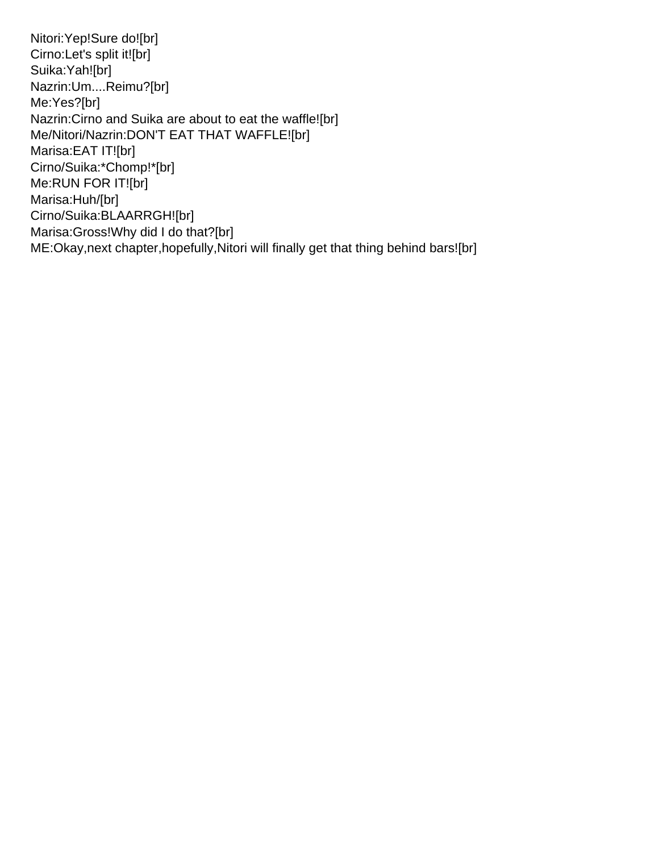Nitori:Yep!Sure do![br] Cirno:Let's split it![br] Suika:Yah![br] Nazrin:Um....Reimu?[br] Me:Yes?[br] Nazrin:Cirno and Suika are about to eat the waffle![br] Me/Nitori/Nazrin:DON'T EAT THAT WAFFLE![br] Marisa:EAT IT![br] Cirno/Suika:\*Chomp!\*[br] Me:RUN FOR IT![br] Marisa:Huh/[br] Cirno/Suika:BLAARRGH![br] Marisa:Gross!Why did I do that?[br] ME:Okay,next chapter,hopefully,Nitori will finally get that thing behind bars![br]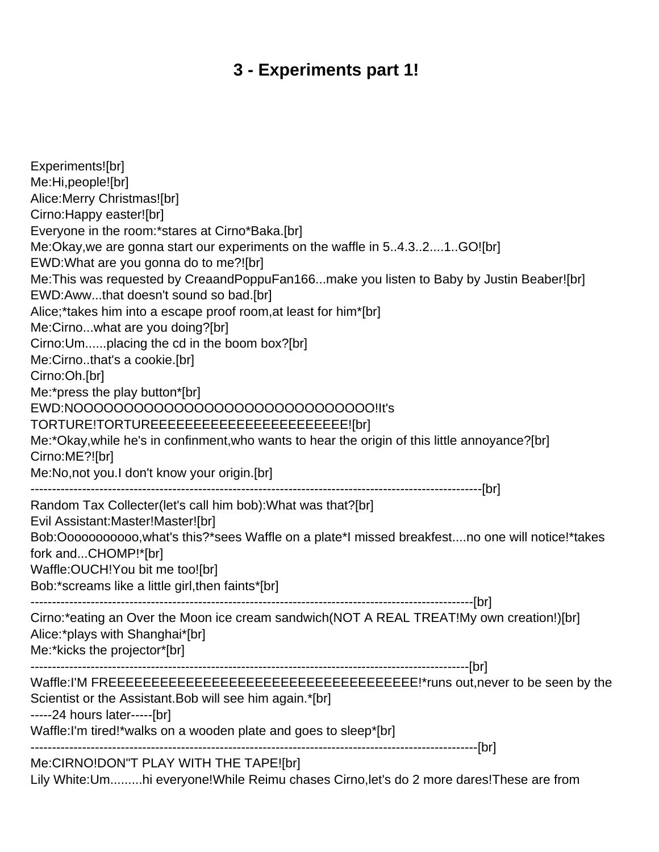#### **3 - Experiments part 1!**

<span id="page-4-0"></span>Experiments![br] Me:Hi,people![br] Alice:Merry Christmas![br] Cirno:Happy easter![br] Everyone in the room:\*stares at Cirno\*Baka.[br] Me:Okay,we are gonna start our experiments on the waffle in 5..4.3..2....1..GO![br] EWD:What are you gonna do to me?![br] Me:This was requested by CreaandPoppuFan166...make you listen to Baby by Justin Beaber![br] EWD:Aww...that doesn't sound so bad.[br] Alice;\*takes him into a escape proof room,at least for him\*[br] Me:Cirno...what are you doing?[br] Cirno:Um......placing the cd in the boom box?[br] Me:Cirno..that's a cookie.[br] Cirno:Oh.[br] Me:\*press the play button\*[br] EWD:NOOOOOOOOOOOOOOOOOOOOOOOOOOOOOO!It's TORTURE!TORTUREEEEEEEEEEEEEEEEEEEEEEE![br] Me:\*Okay,while he's in confinment,who wants to hear the origin of this little annoyance?[br] Cirno:ME?![br] Me:No,not you.I don't know your origin.[br] ---------------------------------------------------------------------------------------------------------[br] Random Tax Collecter(let's call him bob):What was that?[br] Evil Assistant:Master!Master![br] Bob:Ooooooooooo,what's this?\*sees Waffle on a plate\*I missed breakfest....no one will notice!\*takes fork and...CHOMP!\*[br] Waffle:OUCH!You bit me too![br] Bob:\*screams like a little girl,then faints\*[br] -------------------------------------------------------------------------------------------------------[br] Cirno:\*eating an Over the Moon ice cream sandwich(NOT A REAL TREAT!My own creation!)[br] Alice:\*plays with Shanghai\*[br] Me:\*kicks the projector\*[br] ------------------------------------------------------------------------------------------------------[br] Waffle:I'M FREEEEEEEEEEEEEEEEEEEEEEEEEEEEEEEEEEEE!\*runs out,never to be seen by the Scientist or the Assistant.Bob will see him again.\*[br] -----24 hours later-----[br] Waffle:I'm tired!\*walks on a wooden plate and goes to sleep\*[br] --------------------------------------------------------------------------------------------------------[br] Me:CIRNO!DON"T PLAY WITH THE TAPE![br]

Lily White:Um.........hi everyone!While Reimu chases Cirno,let's do 2 more dares!These are from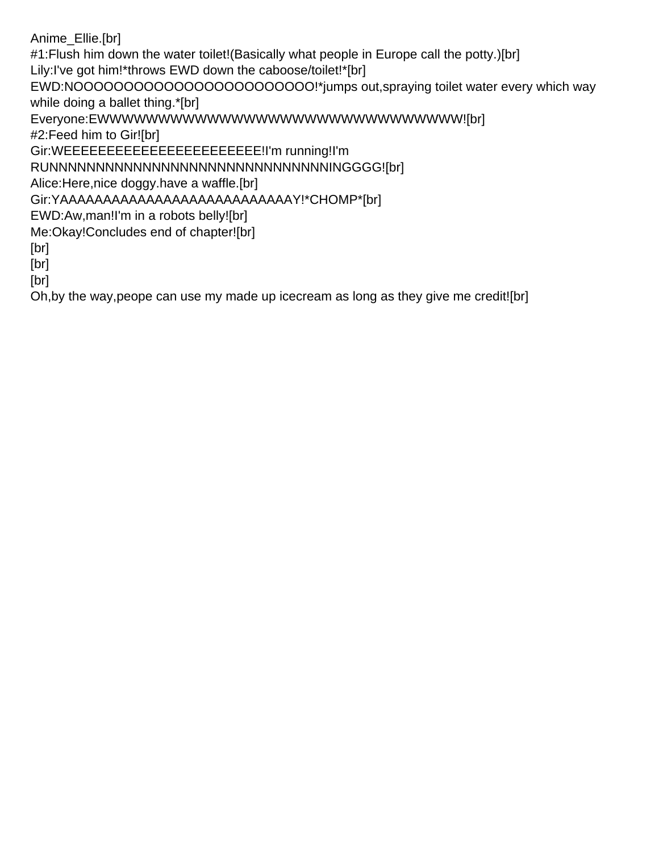Anime\_Ellie.[br] #1: Flush him down the water toilet! (Basically what people in Europe call the potty.) [br] Lily:I've got him!\*throws EWD down the caboose/toilet!\*[br] EWD:NOOOOOOOOOOOOOOOOOOOOOOO!\*jumps out,spraying toilet water every which way while doing a ballet thing.\*[br] Everyone:EWWWWWWWWWWWWWWWWWWWWWWWWWWWWWW![br] #2:Feed him to Gir![br] Gir:WEEEEEEEEEEEEEEEEEEEEEEE!I'm running!I'm RUNNNNNNNNNNNNNNNNNNNNNNNNNNNNNNINGGGG![br] Alice:Here,nice doggy.have a waffle.[br] Gir:YAAAAAAAAAAAAAAAAAAAAAAAAAAAY!\*CHOMP\*[br] EWD:Aw,man!I'm in a robots belly![br] Me:Okay!Concludes end of chapter![br] [br] [br] [br]

Oh,by the way,peope can use my made up icecream as long as they give me credit![br]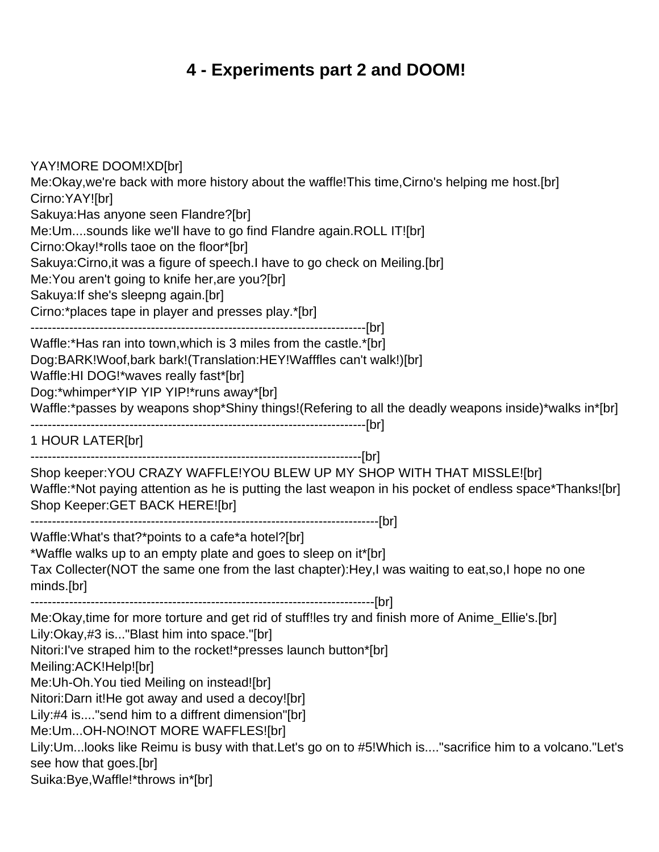## **4 - Experiments part 2 and DOOM!**

<span id="page-6-0"></span>YAY!MORE DOOM!XD[br] Me:Okay,we're back with more history about the waffle!This time,Cirno's helping me host.[br] Cirno:YAY![br] Sakuya:Has anyone seen Flandre?[br] Me:Um....sounds like we'll have to go find Flandre again.ROLL IT![br] Cirno:Okay!\*rolls taoe on the floor\*[br] Sakuya:Cirno,it was a figure of speech.I have to go check on Meiling.[br] Me:You aren't going to knife her,are you?[br] Sakuya:If she's sleepng again.[br] Cirno:\*places tape in player and presses play.\*[br] ------------------------------------------------------------------------------[br] Waffle:\*Has ran into town,which is 3 miles from the castle.\*[br] Dog:BARK!Woof,bark bark!(Translation:HEY!Wafffles can't walk!)[br] Waffle:HI DOG!\*waves really fast\*[br] Dog:\*whimper\*YIP YIP YIP!\*runs away\*[br] Waffle:\*passes by weapons shop\*Shiny things!(Refering to all the deadly weapons inside)\*walks in\*[br] ------------------------------------------------------------------------------[br] 1 HOUR LATER[br] -----------------------------------------------------------------------------[br] Shop keeper:YOU CRAZY WAFFLE!YOU BLEW UP MY SHOP WITH THAT MISSLE![br] Waffle:\*Not paying attention as he is putting the last weapon in his pocket of endless space\*Thanks![br] Shop Keeper:GET BACK HERE![br] ---------------------------------------------------------------------------------[br] Waffle:What's that?\*points to a cafe\*a hotel?[br] \*Waffle walks up to an empty plate and goes to sleep on it\*[br] Tax Collecter(NOT the same one from the last chapter):Hey,I was waiting to eat,so,I hope no one minds.[br] --------------------------------------------------------------------------------[br] Me:Okay,time for more torture and get rid of stuff!les try and finish more of Anime\_Ellie's.[br] Lily:Okay,#3 is..."Blast him into space."[br] Nitori:I've straped him to the rocket!\*presses launch button\*[br] Meiling:ACK!Help![br] Me:Uh-Oh.You tied Meiling on instead![br] Nitori:Darn it!He got away and used a decoy![br] Lily:#4 is...."send him to a diffrent dimension"[br] Me:Um...OH-NO!NOT MORE WAFFLES![br] Lily:Um...looks like Reimu is busy with that.Let's go on to #5!Which is...."sacrifice him to a volcano."Let's see how that goes.[br] Suika:Bye,Waffle!\*throws in\*[br]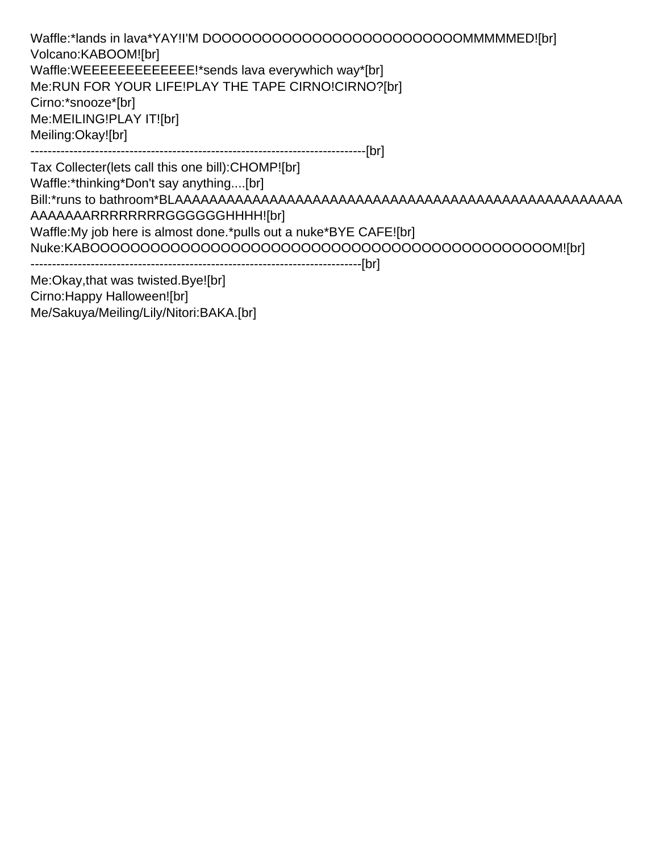Waffle:\*lands in lava\*YAY!I'M DOOOOOOOOOOOOOOOOOOOOOOOOOMMMMMED![br] Volcano:KABOOM![br] Waffle:WEEEEEEEEEEEEEE!\*sends lava everywhich way\*[br] Me:RUN FOR YOUR LIFE!PLAY THE TAPE CIRNO!CIRNO?[br] Cirno:\*snooze\*[br] Me:MEILING!PLAY IT![br] Meiling:Okay![br] ------------------------------------------------------------------------------[br]

Tax Collecter(lets call this one bill):CHOMP![br] Waffle:\*thinking\*Don't say anything....[br] Bill:\*runs to bathroom\*BLAAAAAAAAAAAAAAAAAAAAAAAAAAAAAAAAAAAAAAAAAAAAAAAAAAAA AAAAAAARRRRRRRRGGGGGGHHHH![br] Waffle:My job here is almost done.\*pulls out a nuke\*BYE CAFE![br] Nuke:KABOOOOOOOOOOOOOOOOOOOOOOOOOOOOOOOOOOOOOOOOOOOOOOM![br] -----------------------------------------------------------------------------[br] Me:Okay,that was twisted.Bye![br]

Cirno:Happy Halloween![br] Me/Sakuya/Meiling/Lily/Nitori:BAKA.[br]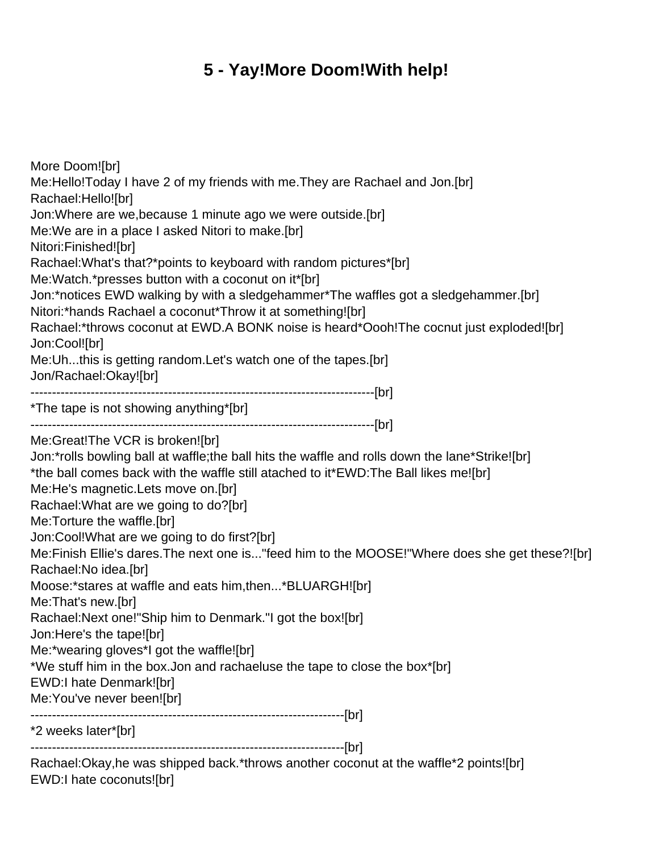## **5 - Yay!More Doom!With help!**

<span id="page-8-0"></span>More Doom![br] Me:Hello!Today I have 2 of my friends with me.They are Rachael and Jon.[br] Rachael:Hello![br] Jon:Where are we,because 1 minute ago we were outside.[br] Me:We are in a place I asked Nitori to make.[br] Nitori:Finished![br] Rachael:What's that?\*points to keyboard with random pictures\*[br] Me:Watch.\*presses button with a coconut on it\*[br] Jon:\*notices EWD walking by with a sledgehammer\*The waffles got a sledgehammer.[br] Nitori:\*hands Rachael a coconut\*Throw it at something![br] Rachael:\*throws coconut at EWD.A BONK noise is heard\*Oooh!The cocnut just exploded![br] Jon:Cool![br] Me:Uh...this is getting random.Let's watch one of the tapes.[br] Jon/Rachael:Okay![br] --------------------------------------------------------------------------------[br] \*The tape is not showing anything\*[br] --------------------------------------------------------------------------------[br] Me:Great!The VCR is broken![br] Jon:\*rolls bowling ball at waffle;the ball hits the waffle and rolls down the lane\*Strike![br] \*the ball comes back with the waffle still atached to it\*EWD:The Ball likes me![br] Me:He's magnetic.Lets move on.[br] Rachael:What are we going to do?[br] Me:Torture the waffle.[br] Jon:Cool!What are we going to do first?[br] Me:Finish Ellie's dares.The next one is..."feed him to the MOOSE!"Where does she get these?![br] Rachael:No idea.[br] Moose:\*stares at waffle and eats him,then...\*BLUARGH![br] Me:That's new.[br] Rachael:Next one!"Ship him to Denmark."I got the box![br] Jon:Here's the tape![br] Me:\*wearing gloves\*I got the waffle![br] \*We stuff him in the box.Jon and rachaeluse the tape to close the box\*[br] EWD:I hate Denmark![br] Me:You've never been![br] -------------------------------------------------------------------------[br] \*2 weeks later\*[br] -------------------------------------------------------------------------[br]

Rachael:Okay,he was shipped back.\*throws another coconut at the waffle\*2 points![br] EWD:I hate coconuts![br]